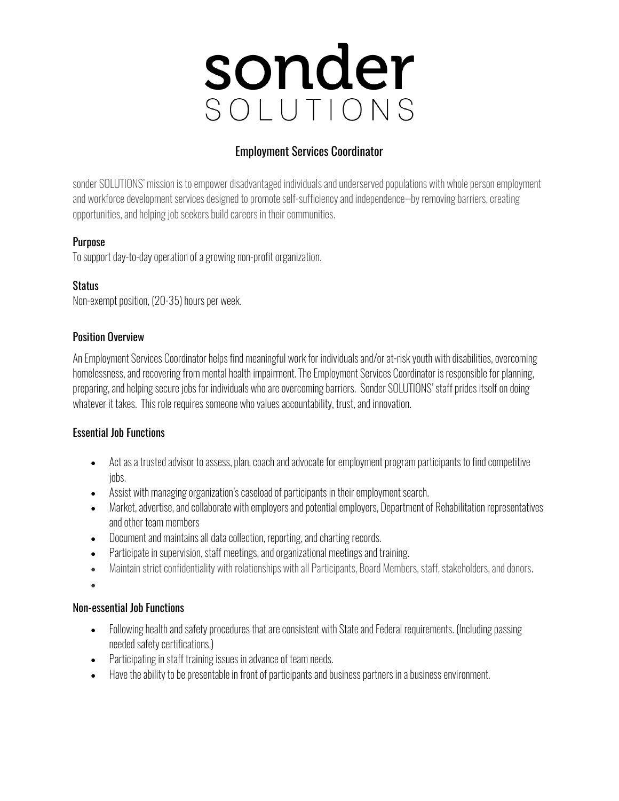# **sonder**

### Employment Services Coordinator

sonder SOLUTIONS' mission is to empower disadvantaged individuals and underserved populations with whole person employment and workforce development services designed to promote self-sufficiency and independence--by removing barriers, creating opportunities, and helping job seekers build careers in their communities.

#### **Purpose**

To support day-to-day operation of a growing non-profit organization.

#### **Status**

Non-exempt position, (20-35) hours per week.

#### Position Overview

An Employment Services Coordinator helps find meaningful work for individuals and/or at-risk youth with disabilities, overcoming homelessness, and recovering from mental health impairment. The Employment Services Coordinator is responsible for planning, preparing, and helping secure jobs for individuals who are overcoming barriers. Sonder SOLUTIONS' staff prides itself on doing whatever it takes. This role requires someone who values accountability, trust, and innovation.

#### Essential Job Functions

- Act as a trusted advisor to assess, plan, coach and advocate for employment program participants to find competitive jobs.
- Assist with managing organization's caseload of participants in their employment search.
- Market, advertise, and collaborate with employers and potential employers, Department of Rehabilitation representatives and other team members
- Document and maintains all data collection, reporting, and charting records.
- Participate in supervision, staff meetings, and organizational meetings and training.
- Maintain strict confidentiality with relationships with all Participants, Board Members, staff, stakeholders, and donors.

•

#### Non-essential Job Functions

- Following health and safety procedures that are consistent with State and Federal requirements. (Including passing needed safety certifications.)
- Participating in staff training issues in advance of team needs.
- Have the ability to be presentable in front of participants and business partners in a business environment.